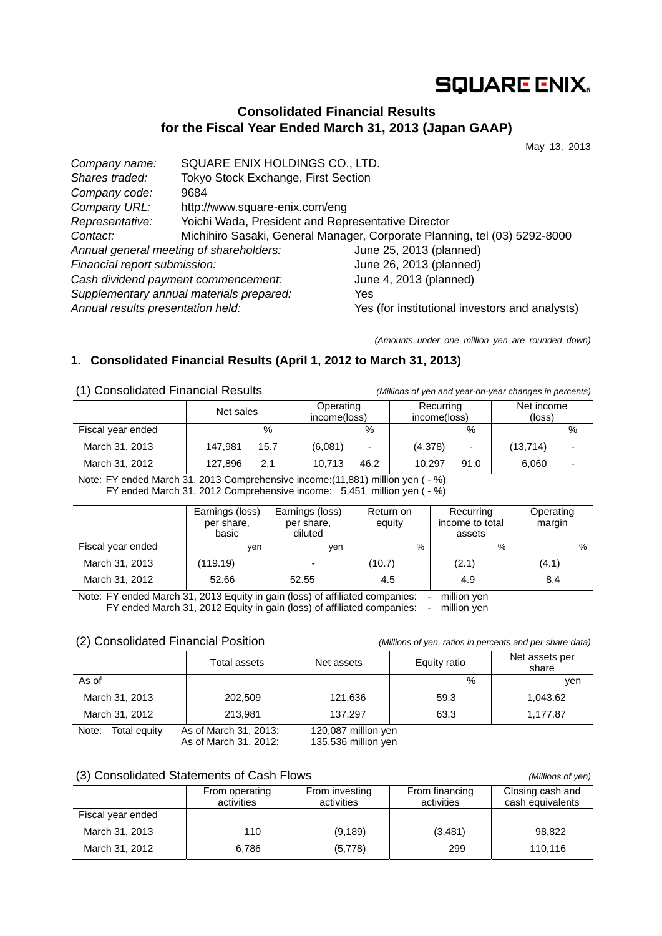# **SQUARE ENIX.**

# **Consolidated Financial Results for the Fiscal Year Ended March 31, 2013 (Japan GAAP)**

May 13, 2013

| Company name:                           | SQUARE ENIX HOLDINGS CO., LTD.                                            |                                                |  |  |  |
|-----------------------------------------|---------------------------------------------------------------------------|------------------------------------------------|--|--|--|
| Shares traded:                          | Tokyo Stock Exchange, First Section                                       |                                                |  |  |  |
| Company code:                           | 9684                                                                      |                                                |  |  |  |
| Company URL:                            | http://www.square-enix.com/eng                                            |                                                |  |  |  |
| Representative:                         | Yoichi Wada, President and Representative Director                        |                                                |  |  |  |
| Contact:                                | Michihiro Sasaki, General Manager, Corporate Planning, tel (03) 5292-8000 |                                                |  |  |  |
| Annual general meeting of shareholders: |                                                                           | June 25, 2013 (planned)                        |  |  |  |
| Financial report submission:            |                                                                           | June 26, 2013 (planned)                        |  |  |  |
| Cash dividend payment commencement:     |                                                                           | June 4, 2013 (planned)                         |  |  |  |
|                                         | Supplementary annual materials prepared:                                  | Yes                                            |  |  |  |
| Annual results presentation held:       |                                                                           | Yes (for institutional investors and analysts) |  |  |  |

*(Amounts under one million yen are rounded down)* 

## **1. Consolidated Financial Results (April 1, 2012 to March 31, 2013)**

(1) Consolidated Financial Results *(Millions of yen and year-on-year changes in percents)*

|                   | Net sales |      | Operating<br>income(loss) |                          | Recurring<br>income(loss) |      | Net income<br>(loss) |      |
|-------------------|-----------|------|---------------------------|--------------------------|---------------------------|------|----------------------|------|
| Fiscal year ended |           | %    |                           | $\%$                     |                           | %    |                      | $\%$ |
| March 31, 2013    | 147.981   | 15.7 | (6,081)                   | $\overline{\phantom{a}}$ | (4,378)                   | ۰.   | (13, 714)            | -    |
| March 31, 2012    | 127,896   | 2.1  | 10.713                    | 46.2                     | 10.297                    | 91.0 | 6,060                | -    |

Note: FY ended March 31, 2013 Comprehensive income:(11,881) million yen ( - %) FY ended March 31, 2012 Comprehensive income: 5,451 million yen (-%)

|                   | Earnings (loss)<br>per share,<br>basic | Earnings (loss)<br>per share,<br>diluted | Return on<br>equity | Recurring<br>income to total<br>assets | Operating<br>margin |
|-------------------|----------------------------------------|------------------------------------------|---------------------|----------------------------------------|---------------------|
| Fiscal year ended | ven                                    | ven                                      | %                   | $\%$                                   | %                   |
| March 31, 2013    | (119.19)                               | $\overline{\phantom{0}}$                 | (10.7)              | (2.1)                                  | (4.1)               |
| March 31, 2012    | 52.66                                  | 52.55                                    | 4.5                 | 4.9                                    | 8.4                 |

Note: FY ended March 31, 2013 Equity in gain (loss) of affiliated companies: - million yen FY ended March 31, 2012 Equity in gain (loss) of affiliated companies: - million yen

### (2) Consolidated Financial Position *(Millions of yen, ratios in percents and per share data)*

|                       | Total assets                                         | Net assets                                   | Equity ratio | Net assets per<br>share |
|-----------------------|------------------------------------------------------|----------------------------------------------|--------------|-------------------------|
| As of                 |                                                      |                                              | $\%$         | ven                     |
| March 31, 2013        | 202,509                                              | 121,636                                      | 59.3         | 1,043.62                |
| March 31, 2012        | 213.981                                              | 137.297                                      | 63.3         | 1,177.87                |
| Note:<br>Total equity | As of March 31, 2013:<br>$A \circ A$ Morob 24, 2012. | 120,087 million yen<br>$125 E22$ million von |              |                         |

As of March 31, 2012: 135,536 million yen

### (3) Consolidated Statements of Cash Flows *(Millions of yen)*

|                   | From operating<br>activities | From investing<br>activities | From financing<br>activities | Closing cash and<br>cash equivalents |
|-------------------|------------------------------|------------------------------|------------------------------|--------------------------------------|
| Fiscal year ended |                              |                              |                              |                                      |
| March 31, 2013    | 110                          | (9, 189)                     | (3,481)                      | 98,822                               |
| March 31, 2012    | 6.786                        | (5,778)                      | 299                          | 110.116                              |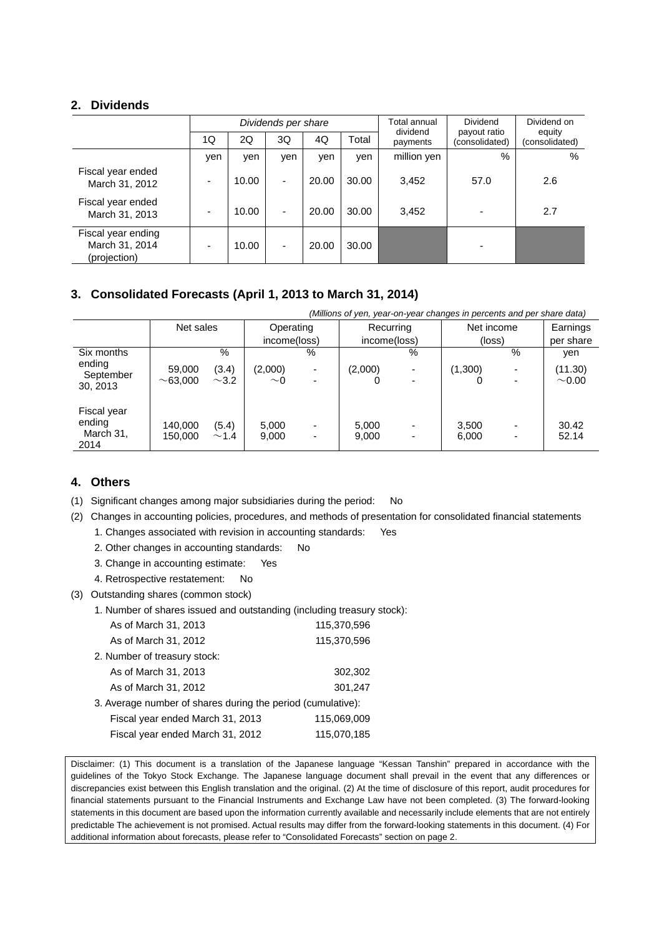### **2. Dividends**

|                                                      |     |       | Dividends per share      |       |       | Total annual<br>dividend | Dividend<br>payout ratio | Dividend on              |
|------------------------------------------------------|-----|-------|--------------------------|-------|-------|--------------------------|--------------------------|--------------------------|
|                                                      | 1Q  | 2Q    | 3Q                       | 4Q    | Total | payments                 | (consolidated)           | equity<br>(consolidated) |
|                                                      | yen | yen   | yen                      | yen   | yen   | million yen              | %                        | %                        |
| Fiscal year ended<br>March 31, 2012                  |     | 10.00 | $\overline{\phantom{a}}$ | 20.00 | 30.00 | 3,452                    | 57.0                     | 2.6                      |
| Fiscal year ended<br>March 31, 2013                  |     | 10.00 | $\overline{\phantom{0}}$ | 20.00 | 30.00 | 3,452                    |                          | 2.7                      |
| Fiscal year ending<br>March 31, 2014<br>(projection) |     | 10.00 | $\overline{\phantom{a}}$ | 20.00 | 30.00 |                          |                          |                          |

## **3. Consolidated Forecasts (April 1, 2013 to March 31, 2014)**

|                                            | (Millions of yen, year-on-year changes in percents and per share data) |                     |                     |                                                          |                |                                                      |                |      |                        |
|--------------------------------------------|------------------------------------------------------------------------|---------------------|---------------------|----------------------------------------------------------|----------------|------------------------------------------------------|----------------|------|------------------------|
|                                            | Net sales                                                              |                     | Operating           |                                                          | Recurring      |                                                      | Net income     |      | Earnings               |
|                                            |                                                                        |                     | income(loss)        |                                                          | income(loss)   |                                                      | (loss)         |      | per share              |
| Six months                                 |                                                                        | $\%$                |                     | %                                                        |                | %                                                    |                | $\%$ | ven                    |
| ending<br>September<br>30, 2013            | 59,000<br>~1000                                                        | (3.4)<br>$\sim$ 3.2 | (2,000)<br>$\sim$ 0 | ۰<br>٠                                                   | (2,000)        | $\overline{\phantom{a}}$<br>$\overline{\phantom{a}}$ | (1,300)        |      | (11.30)<br>$\sim$ 0.00 |
| Fiscal year<br>ending<br>March 31,<br>2014 | 140,000<br>150,000                                                     | (5.4)<br>~1.4       | 5,000<br>9,000      | $\qquad \qquad \blacksquare$<br>$\overline{\phantom{a}}$ | 5,000<br>9,000 | $\overline{\phantom{a}}$<br>$\overline{\phantom{a}}$ | 3,500<br>6,000 |      | 30.42<br>52.14         |

### **4. Others**

(1) Significant changes among major subsidiaries during the period: No

(2) Changes in accounting policies, procedures, and methods of presentation for consolidated financial statements

1. Changes associated with revision in accounting standards: Yes

2. Other changes in accounting standards: No

3. Change in accounting estimate: Yes

4. Retrospective restatement: No

(3) Outstanding shares (common stock)

1. Number of shares issued and outstanding (including treasury stock):

| As of March 31, 2013                                        | 115,370,596 |
|-------------------------------------------------------------|-------------|
| As of March 31, 2012                                        | 115,370,596 |
| 2. Number of treasury stock:                                |             |
| As of March 31, 2013                                        | 302,302     |
| As of March 31, 2012                                        | 301,247     |
| 3. Average number of shares during the period (cumulative): |             |
| Fiscal year ended March 31, 2013                            | 115,069,009 |
| Fiscal year ended March 31, 2012                            | 115,070,185 |

Disclaimer: (1) This document is a translation of the Japanese language "Kessan Tanshin" prepared in accordance with the guidelines of the Tokyo Stock Exchange. The Japanese language document shall prevail in the event that any differences or discrepancies exist between this English translation and the original. (2) At the time of disclosure of this report, audit procedures for financial statements pursuant to the Financial Instruments and Exchange Law have not been completed. (3) The forward-looking statements in this document are based upon the information currently available and necessarily include elements that are not entirely predictable The achievement is not promised. Actual results may differ from the forward-looking statements in this document. (4) For additional information about forecasts, please refer to "Consolidated Forecasts" section on page 2.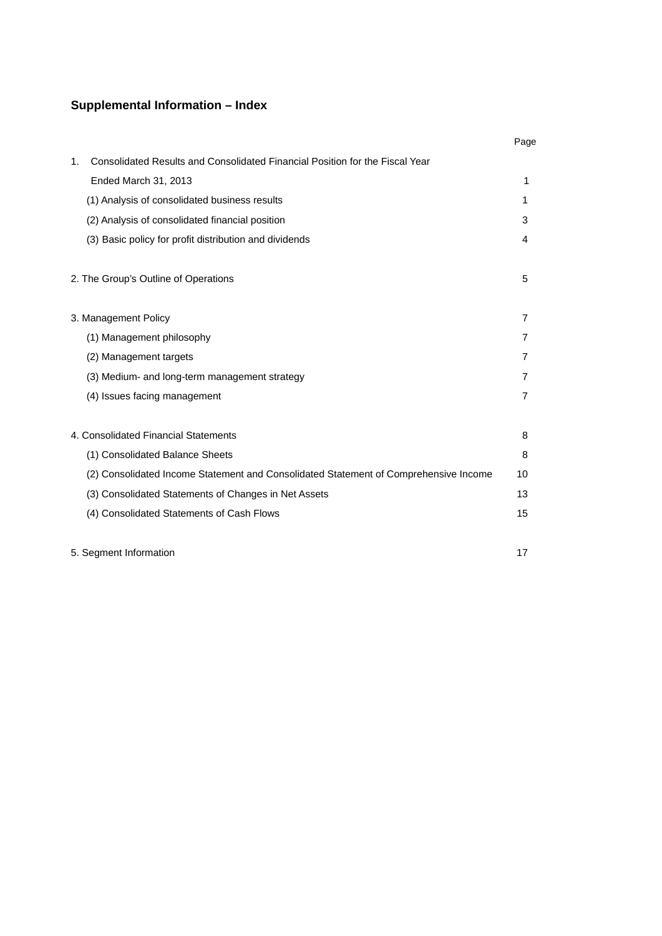# **Supplemental Information – Index**

|                                                                                                | Page           |
|------------------------------------------------------------------------------------------------|----------------|
| Consolidated Results and Consolidated Financial Position for the Fiscal Year<br>1 <sub>1</sub> |                |
| Ended March 31, 2013                                                                           | 1              |
| (1) Analysis of consolidated business results                                                  | 1              |
| (2) Analysis of consolidated financial position                                                | 3              |
| (3) Basic policy for profit distribution and dividends                                         | 4              |
| 2. The Group's Outline of Operations                                                           | 5              |
| 3. Management Policy                                                                           | $\overline{7}$ |
| (1) Management philosophy                                                                      | 7              |
| (2) Management targets                                                                         | 7              |
| (3) Medium- and long-term management strategy                                                  | 7              |
| (4) Issues facing management                                                                   | $\overline{7}$ |
| 4. Consolidated Financial Statements                                                           | 8              |
| (1) Consolidated Balance Sheets                                                                | 8              |
| (2) Consolidated Income Statement and Consolidated Statement of Comprehensive Income           | 10             |
| (3) Consolidated Statements of Changes in Net Assets                                           | 13             |
| (4) Consolidated Statements of Cash Flows                                                      | 15             |

5. Segment Information 17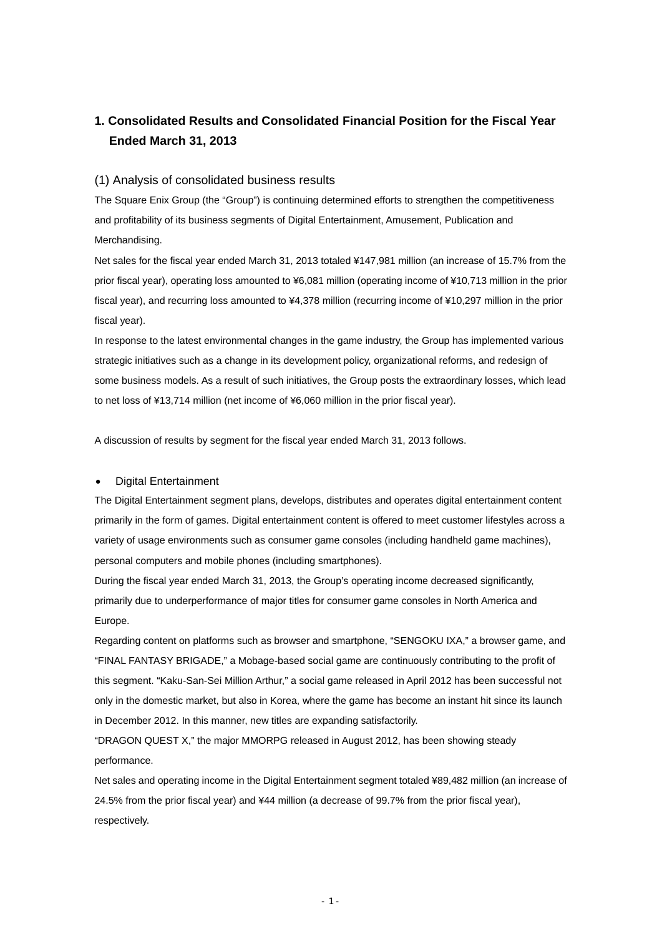# **1. Consolidated Results and Consolidated Financial Position for the Fiscal Year Ended March 31, 2013**

#### (1) Analysis of consolidated business results

The Square Enix Group (the "Group") is continuing determined efforts to strengthen the competitiveness and profitability of its business segments of Digital Entertainment, Amusement, Publication and Merchandising.

Net sales for the fiscal year ended March 31, 2013 totaled ¥147,981 million (an increase of 15.7% from the prior fiscal year), operating loss amounted to ¥6,081 million (operating income of ¥10,713 million in the prior fiscal year), and recurring loss amounted to ¥4,378 million (recurring income of ¥10,297 million in the prior fiscal year).

In response to the latest environmental changes in the game industry, the Group has implemented various strategic initiatives such as a change in its development policy, organizational reforms, and redesign of some business models. As a result of such initiatives, the Group posts the extraordinary losses, which lead to net loss of ¥13,714 million (net income of ¥6,060 million in the prior fiscal year).

A discussion of results by segment for the fiscal year ended March 31, 2013 follows.

#### Digital Entertainment

The Digital Entertainment segment plans, develops, distributes and operates digital entertainment content primarily in the form of games. Digital entertainment content is offered to meet customer lifestyles across a variety of usage environments such as consumer game consoles (including handheld game machines), personal computers and mobile phones (including smartphones).

During the fiscal year ended March 31, 2013, the Group's operating income decreased significantly, primarily due to underperformance of major titles for consumer game consoles in North America and Europe.

Regarding content on platforms such as browser and smartphone, "SENGOKU IXA," a browser game, and "FINAL FANTASY BRIGADE," a Mobage-based social game are continuously contributing to the profit of this segment. "Kaku-San-Sei Million Arthur," a social game released in April 2012 has been successful not only in the domestic market, but also in Korea, where the game has become an instant hit since its launch in December 2012. In this manner, new titles are expanding satisfactorily.

"DRAGON QUEST X," the major MMORPG released in August 2012, has been showing steady performance.

Net sales and operating income in the Digital Entertainment segment totaled ¥89,482 million (an increase of 24.5% from the prior fiscal year) and ¥44 million (a decrease of 99.7% from the prior fiscal year), respectively.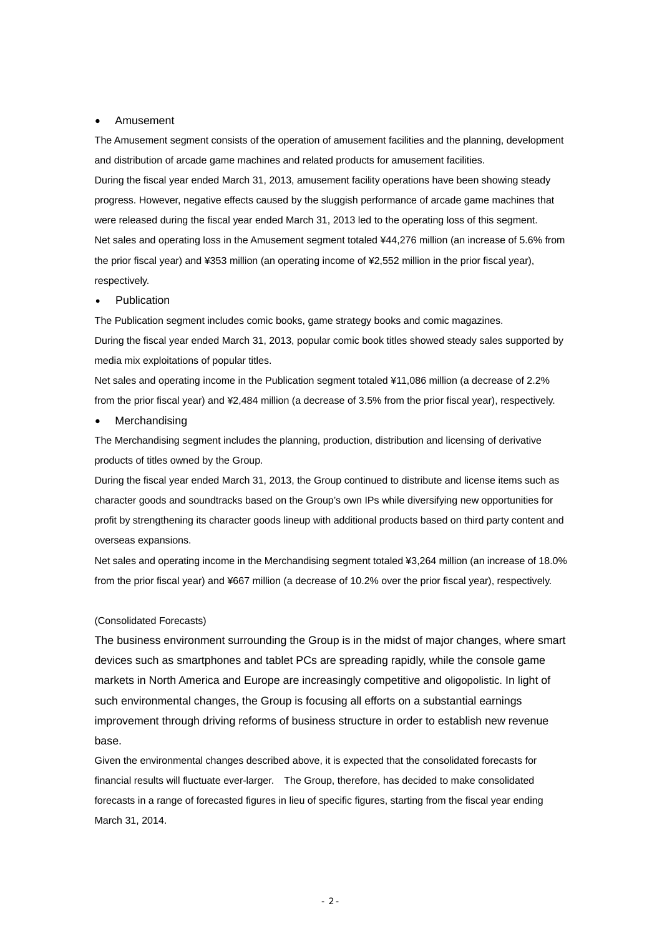#### Amusement

The Amusement segment consists of the operation of amusement facilities and the planning, development and distribution of arcade game machines and related products for amusement facilities. During the fiscal year ended March 31, 2013, amusement facility operations have been showing steady progress. However, negative effects caused by the sluggish performance of arcade game machines that were released during the fiscal year ended March 31, 2013 led to the operating loss of this segment. Net sales and operating loss in the Amusement segment totaled ¥44,276 million (an increase of 5.6% from the prior fiscal year) and ¥353 million (an operating income of ¥2,552 million in the prior fiscal year), respectively.

#### Publication

The Publication segment includes comic books, game strategy books and comic magazines. During the fiscal year ended March 31, 2013, popular comic book titles showed steady sales supported by media mix exploitations of popular titles.

Net sales and operating income in the Publication segment totaled ¥11,086 million (a decrease of 2.2% from the prior fiscal year) and ¥2,484 million (a decrease of 3.5% from the prior fiscal year), respectively.

#### Merchandising

The Merchandising segment includes the planning, production, distribution and licensing of derivative products of titles owned by the Group.

During the fiscal year ended March 31, 2013, the Group continued to distribute and license items such as character goods and soundtracks based on the Group's own IPs while diversifying new opportunities for profit by strengthening its character goods lineup with additional products based on third party content and overseas expansions.

Net sales and operating income in the Merchandising segment totaled ¥3,264 million (an increase of 18.0% from the prior fiscal year) and ¥667 million (a decrease of 10.2% over the prior fiscal year), respectively.

#### (Consolidated Forecasts)

The business environment surrounding the Group is in the midst of major changes, where smart devices such as smartphones and tablet PCs are spreading rapidly, while the console game markets in North America and Europe are increasingly competitive and oligopolistic. In light of such environmental changes, the Group is focusing all efforts on a substantial earnings improvement through driving reforms of business structure in order to establish new revenue base.

Given the environmental changes described above, it is expected that the consolidated forecasts for financial results will fluctuate ever-larger. The Group, therefore, has decided to make consolidated forecasts in a range of forecasted figures in lieu of specific figures, starting from the fiscal year ending March 31, 2014.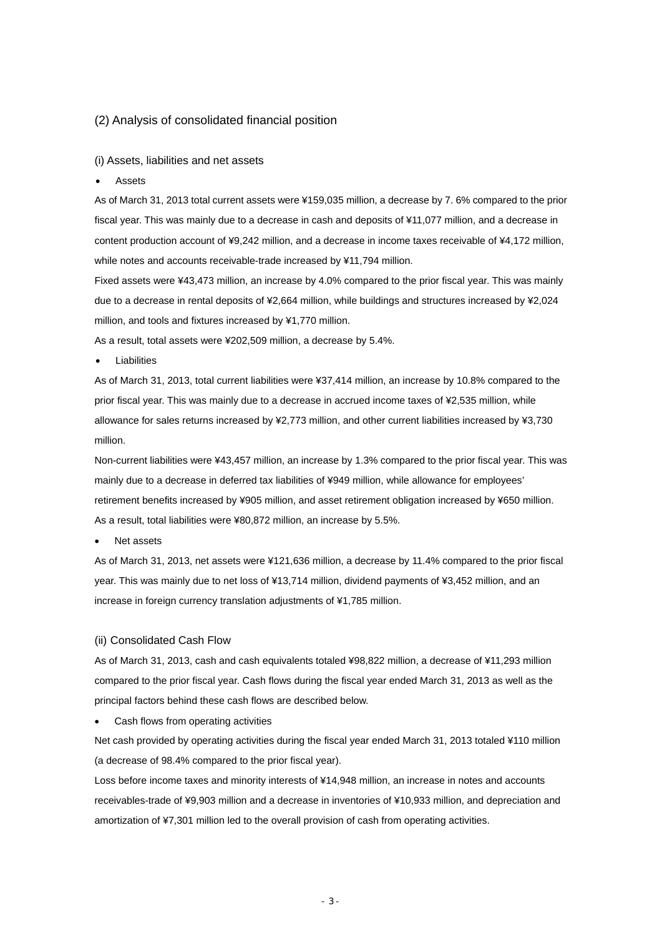#### (2) Analysis of consolidated financial position

#### (i) Assets, liabilities and net assets

Assets

As of March 31, 2013 total current assets were ¥159,035 million, a decrease by 7. 6% compared to the prior fiscal year. This was mainly due to a decrease in cash and deposits of ¥11,077 million, and a decrease in content production account of ¥9,242 million, and a decrease in income taxes receivable of ¥4,172 million, while notes and accounts receivable-trade increased by ¥11,794 million.

Fixed assets were ¥43,473 million, an increase by 4.0% compared to the prior fiscal year. This was mainly due to a decrease in rental deposits of ¥2,664 million, while buildings and structures increased by ¥2,024 million, and tools and fixtures increased by ¥1,770 million.

As a result, total assets were ¥202,509 million, a decrease by 5.4%.

Liabilities

As of March 31, 2013, total current liabilities were ¥37,414 million, an increase by 10.8% compared to the prior fiscal year. This was mainly due to a decrease in accrued income taxes of ¥2,535 million, while allowance for sales returns increased by ¥2,773 million, and other current liabilities increased by ¥3,730 million.

Non-current liabilities were ¥43,457 million, an increase by 1.3% compared to the prior fiscal year. This was mainly due to a decrease in deferred tax liabilities of ¥949 million, while allowance for employees' retirement benefits increased by ¥905 million, and asset retirement obligation increased by ¥650 million. As a result, total liabilities were ¥80,872 million, an increase by 5.5%.

Net assets

As of March 31, 2013, net assets were ¥121,636 million, a decrease by 11.4% compared to the prior fiscal year. This was mainly due to net loss of ¥13,714 million, dividend payments of ¥3,452 million, and an increase in foreign currency translation adjustments of ¥1,785 million.

#### (ii) Consolidated Cash Flow

As of March 31, 2013, cash and cash equivalents totaled ¥98,822 million, a decrease of ¥11,293 million compared to the prior fiscal year. Cash flows during the fiscal year ended March 31, 2013 as well as the principal factors behind these cash flows are described below.

Cash flows from operating activities

Net cash provided by operating activities during the fiscal year ended March 31, 2013 totaled ¥110 million (a decrease of 98.4% compared to the prior fiscal year).

Loss before income taxes and minority interests of ¥14,948 million, an increase in notes and accounts receivables-trade of ¥9,903 million and a decrease in inventories of ¥10,933 million, and depreciation and amortization of ¥7,301 million led to the overall provision of cash from operating activities.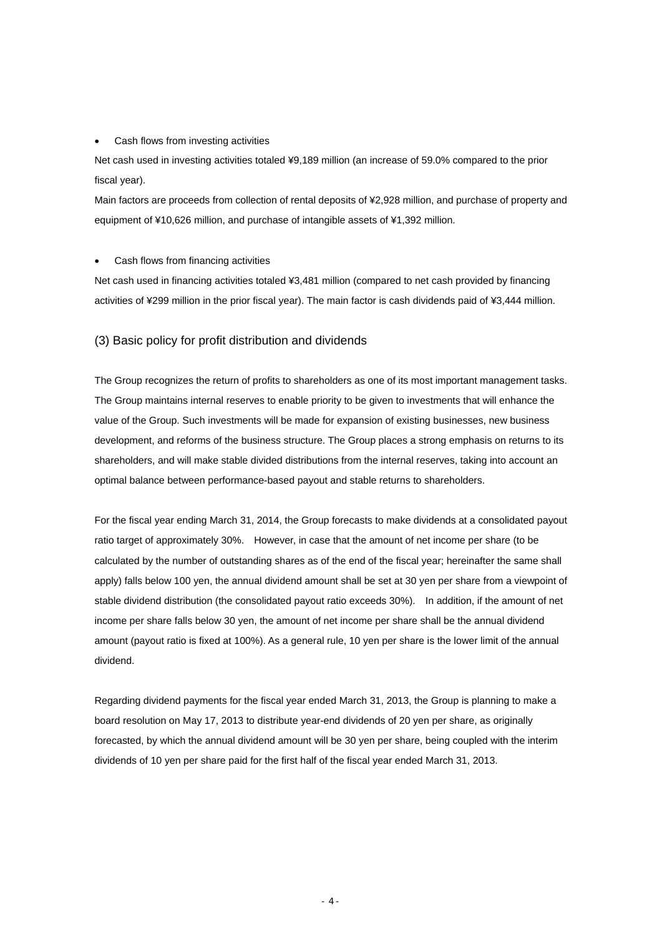#### Cash flows from investing activities

Net cash used in investing activities totaled ¥9,189 million (an increase of 59.0% compared to the prior fiscal year).

Main factors are proceeds from collection of rental deposits of ¥2,928 million, and purchase of property and equipment of ¥10,626 million, and purchase of intangible assets of ¥1,392 million.

#### Cash flows from financing activities

Net cash used in financing activities totaled ¥3,481 million (compared to net cash provided by financing activities of ¥299 million in the prior fiscal year). The main factor is cash dividends paid of ¥3,444 million.

### (3) Basic policy for profit distribution and dividends

The Group recognizes the return of profits to shareholders as one of its most important management tasks. The Group maintains internal reserves to enable priority to be given to investments that will enhance the value of the Group. Such investments will be made for expansion of existing businesses, new business development, and reforms of the business structure. The Group places a strong emphasis on returns to its shareholders, and will make stable divided distributions from the internal reserves, taking into account an optimal balance between performance-based payout and stable returns to shareholders.

For the fiscal year ending March 31, 2014, the Group forecasts to make dividends at a consolidated payout ratio target of approximately 30%. However, in case that the amount of net income per share (to be calculated by the number of outstanding shares as of the end of the fiscal year; hereinafter the same shall apply) falls below 100 yen, the annual dividend amount shall be set at 30 yen per share from a viewpoint of stable dividend distribution (the consolidated payout ratio exceeds 30%). In addition, if the amount of net income per share falls below 30 yen, the amount of net income per share shall be the annual dividend amount (payout ratio is fixed at 100%). As a general rule, 10 yen per share is the lower limit of the annual dividend.

Regarding dividend payments for the fiscal year ended March 31, 2013, the Group is planning to make a board resolution on May 17, 2013 to distribute year-end dividends of 20 yen per share, as originally forecasted, by which the annual dividend amount will be 30 yen per share, being coupled with the interim dividends of 10 yen per share paid for the first half of the fiscal year ended March 31, 2013.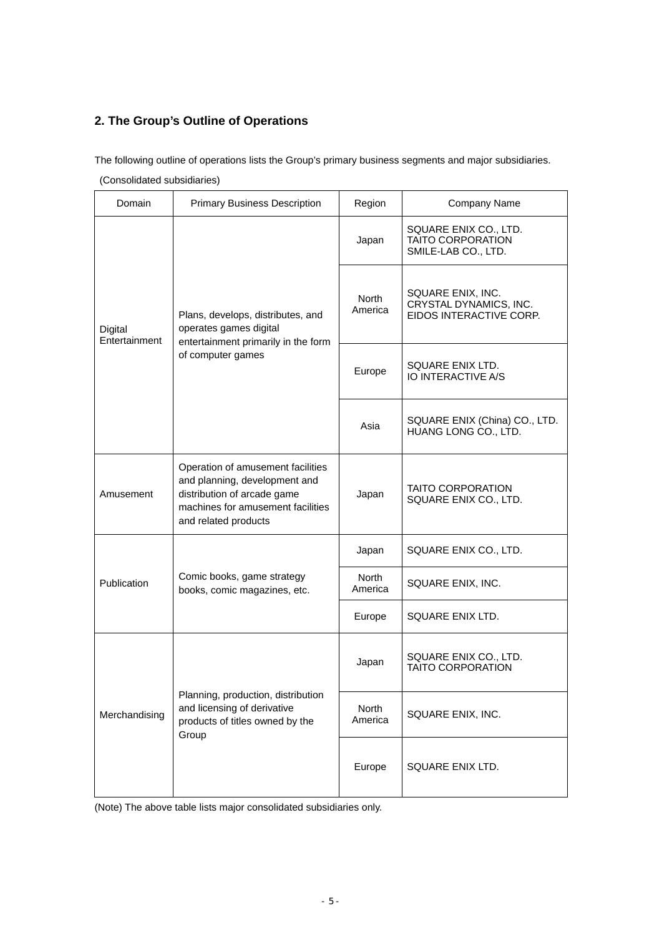# **2. The Group's Outline of Operations**

The following outline of operations lists the Group's primary business segments and major subsidiaries.

(Consolidated subsidiaries)

| Domain                   | <b>Primary Business Description</b>                                                                                                                            | Region                  | Company Name                                                             |
|--------------------------|----------------------------------------------------------------------------------------------------------------------------------------------------------------|-------------------------|--------------------------------------------------------------------------|
| Digital<br>Entertainment |                                                                                                                                                                | Japan                   | SQUARE ENIX CO., LTD.<br><b>TAITO CORPORATION</b><br>SMILE-LAB CO., LTD. |
|                          | Plans, develops, distributes, and<br>operates games digital<br>entertainment primarily in the form                                                             | North<br>America        | SQUARE ENIX, INC.<br>CRYSTAL DYNAMICS, INC.<br>EIDOS INTERACTIVE CORP.   |
|                          | of computer games                                                                                                                                              | Europe                  | SQUARE ENIX LTD.<br>IO INTERACTIVE A/S                                   |
|                          |                                                                                                                                                                | Asia                    | SQUARE ENIX (China) CO., LTD.<br>HUANG LONG CO., LTD.                    |
| Amusement                | Operation of amusement facilities<br>and planning, development and<br>distribution of arcade game<br>machines for amusement facilities<br>and related products | Japan                   | <b>TAITO CORPORATION</b><br>SQUARE ENIX CO., LTD.                        |
|                          |                                                                                                                                                                | Japan                   | SQUARE ENIX CO., LTD.                                                    |
| Publication              | Comic books, game strategy<br>books, comic magazines, etc.                                                                                                     | North<br>America        | SQUARE ENIX, INC.                                                        |
|                          |                                                                                                                                                                | Europe                  | SQUARE ENIX LTD.                                                         |
|                          |                                                                                                                                                                | Japan                   | SQUARE ENIX CO., LTD.<br><b>TAITO CORPORATION</b>                        |
| Merchandising            | Planning, production, distribution<br>and licensing of derivative<br>products of titles owned by the<br>Group                                                  | <b>North</b><br>America | SQUARE ENIX, INC.                                                        |
|                          |                                                                                                                                                                | Europe                  | SQUARE ENIX LTD.                                                         |

(Note) The above table lists major consolidated subsidiaries only.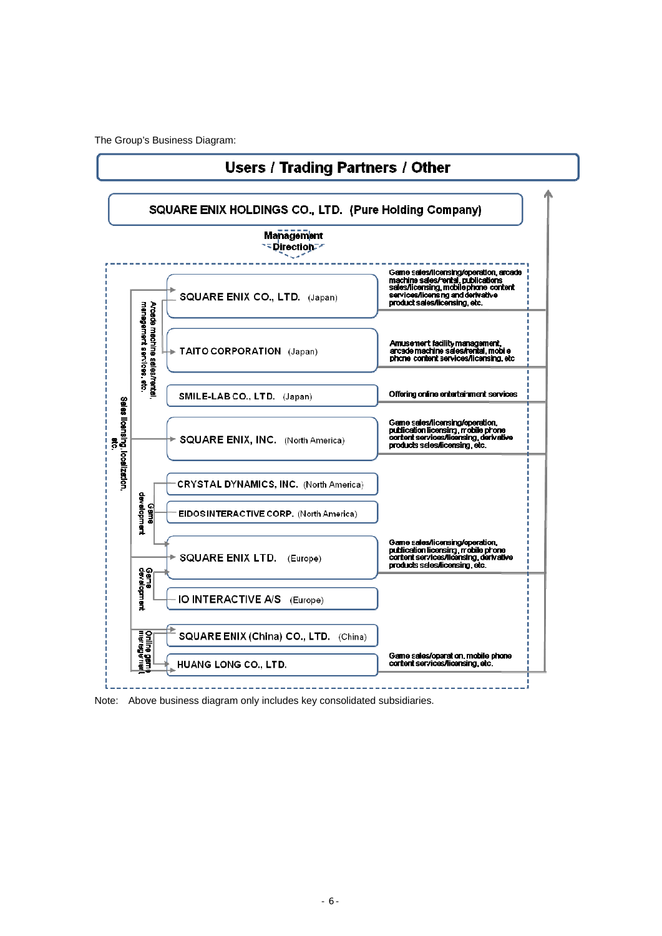The Group's Business Diagram:



Note: Above business diagram only includes key consolidated subsidiaries.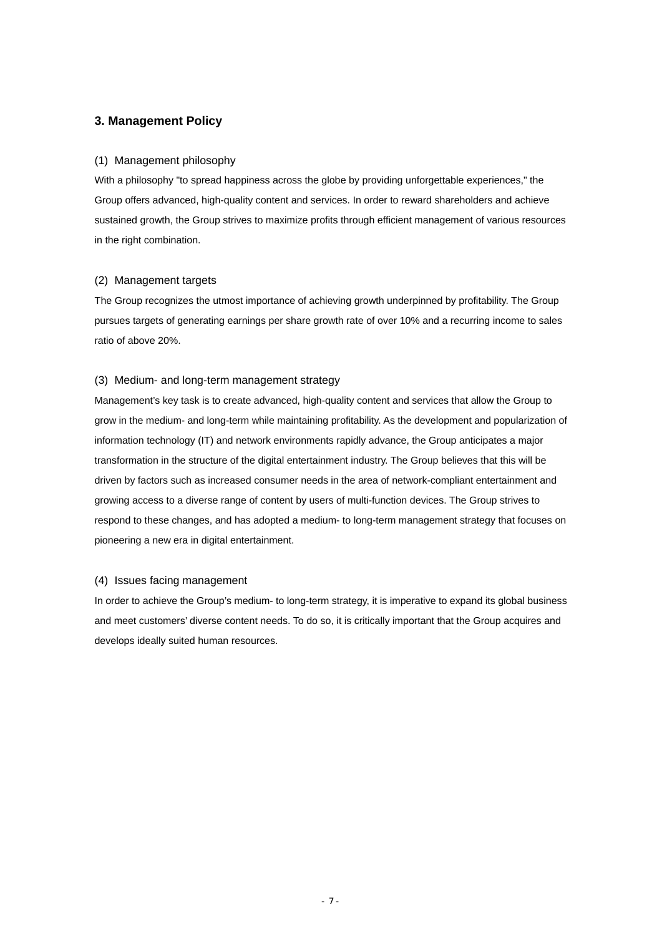### **3. Management Policy**

#### (1) Management philosophy

With a philosophy "to spread happiness across the globe by providing unforgettable experiences," the Group offers advanced, high-quality content and services. In order to reward shareholders and achieve sustained growth, the Group strives to maximize profits through efficient management of various resources in the right combination.

#### (2) Management targets

The Group recognizes the utmost importance of achieving growth underpinned by profitability. The Group pursues targets of generating earnings per share growth rate of over 10% and a recurring income to sales ratio of above 20%.

#### (3) Medium- and long-term management strategy

Management's key task is to create advanced, high-quality content and services that allow the Group to grow in the medium- and long-term while maintaining profitability. As the development and popularization of information technology (IT) and network environments rapidly advance, the Group anticipates a major transformation in the structure of the digital entertainment industry. The Group believes that this will be driven by factors such as increased consumer needs in the area of network-compliant entertainment and growing access to a diverse range of content by users of multi-function devices. The Group strives to respond to these changes, and has adopted a medium- to long-term management strategy that focuses on pioneering a new era in digital entertainment.

#### (4) Issues facing management

In order to achieve the Group's medium- to long-term strategy, it is imperative to expand its global business and meet customers' diverse content needs. To do so, it is critically important that the Group acquires and develops ideally suited human resources.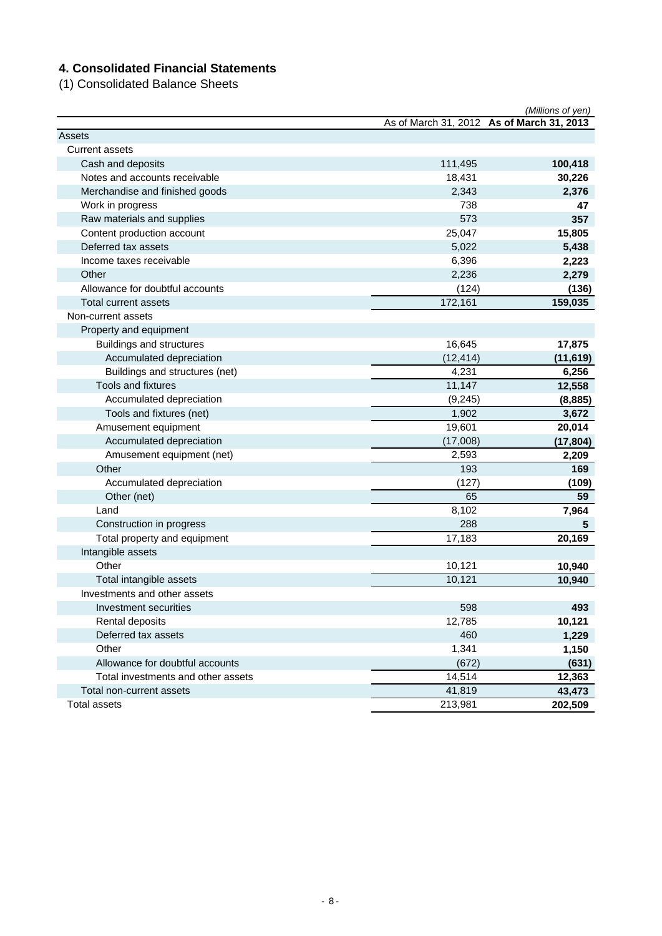# **4. Consolidated Financial Statements**

(1) Consolidated Balance Sheets

|                                    |           | (Millions of yen)                         |
|------------------------------------|-----------|-------------------------------------------|
|                                    |           | As of March 31, 2012 As of March 31, 2013 |
| Assets                             |           |                                           |
| <b>Current assets</b>              |           |                                           |
| Cash and deposits                  | 111,495   | 100,418                                   |
| Notes and accounts receivable      | 18,431    | 30,226                                    |
| Merchandise and finished goods     | 2,343     | 2,376                                     |
| Work in progress                   | 738       | 47                                        |
| Raw materials and supplies         | 573       | 357                                       |
| Content production account         | 25,047    | 15,805                                    |
| Deferred tax assets                | 5,022     | 5,438                                     |
| Income taxes receivable            | 6,396     | 2,223                                     |
| Other                              | 2,236     | 2,279                                     |
| Allowance for doubtful accounts    | (124)     | (136)                                     |
| Total current assets               | 172,161   | 159,035                                   |
| Non-current assets                 |           |                                           |
| Property and equipment             |           |                                           |
| Buildings and structures           | 16,645    | 17,875                                    |
| Accumulated depreciation           | (12, 414) | (11, 619)                                 |
| Buildings and structures (net)     | 4,231     | 6,256                                     |
| Tools and fixtures                 | 11,147    | 12,558                                    |
| Accumulated depreciation           | (9, 245)  | (8,885)                                   |
| Tools and fixtures (net)           | 1,902     | 3,672                                     |
| Amusement equipment                | 19,601    | 20,014                                    |
| Accumulated depreciation           | (17,008)  | (17, 804)                                 |
| Amusement equipment (net)          | 2,593     | 2,209                                     |
| Other                              | 193       | 169                                       |
| Accumulated depreciation           | (127)     | (109)                                     |
| Other (net)                        | 65        | 59                                        |
| Land                               | 8,102     | 7,964                                     |
| Construction in progress           | 288       | 5                                         |
| Total property and equipment       | 17,183    | 20,169                                    |
| Intangible assets                  |           |                                           |
| Other                              | 10,121    | 10,940                                    |
| Total intangible assets            | 10,121    | 10,940                                    |
| Investments and other assets       |           |                                           |
| Investment securities              | 598       | 493                                       |
| Rental deposits                    | 12,785    | 10,121                                    |
| Deferred tax assets                | 460       | 1,229                                     |
| Other                              | 1,341     | 1,150                                     |
| Allowance for doubtful accounts    | (672)     | (631)                                     |
| Total investments and other assets | 14,514    | 12,363                                    |
| Total non-current assets           | 41,819    | 43,473                                    |
| <b>Total assets</b>                | 213,981   | 202,509                                   |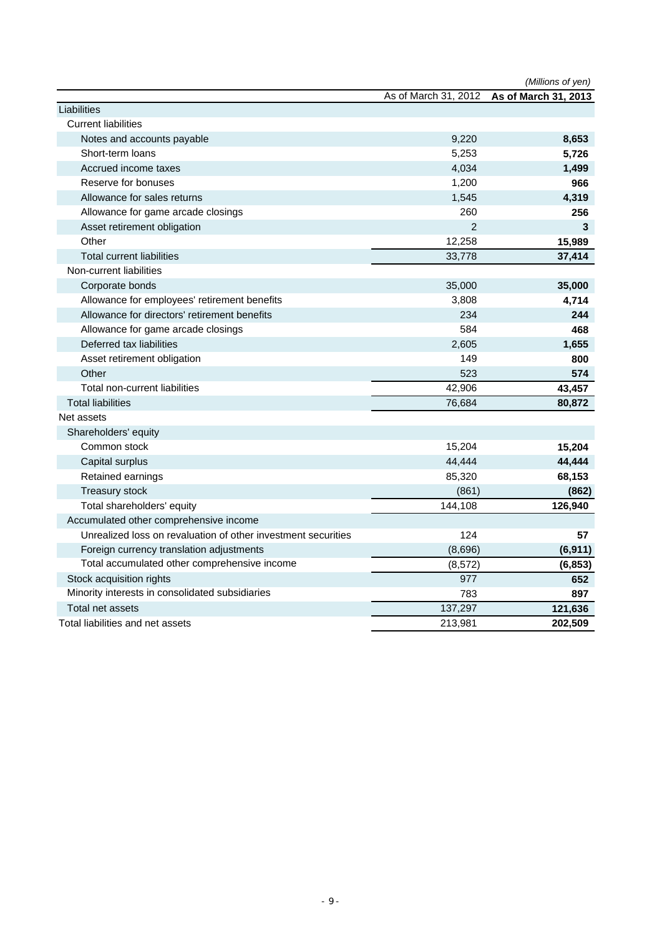|                                                               |                      | (Millions of yen)    |
|---------------------------------------------------------------|----------------------|----------------------|
|                                                               | As of March 31, 2012 | As of March 31, 2013 |
| Liabilities                                                   |                      |                      |
| <b>Current liabilities</b>                                    |                      |                      |
| Notes and accounts payable                                    | 9,220                | 8,653                |
| Short-term loans                                              | 5,253                | 5,726                |
| Accrued income taxes                                          | 4,034                | 1,499                |
| Reserve for bonuses                                           | 1,200                | 966                  |
| Allowance for sales returns                                   | 1,545                | 4,319                |
| Allowance for game arcade closings                            | 260                  | 256                  |
| Asset retirement obligation                                   | $\overline{2}$       | 3                    |
| Other                                                         | 12,258               | 15,989               |
| <b>Total current liabilities</b>                              | 33,778               | 37,414               |
| Non-current liabilities                                       |                      |                      |
| Corporate bonds                                               | 35,000               | 35,000               |
| Allowance for employees' retirement benefits                  | 3,808                | 4,714                |
| Allowance for directors' retirement benefits                  | 234                  | 244                  |
| Allowance for game arcade closings                            | 584                  | 468                  |
| Deferred tax liabilities                                      | 2,605                | 1,655                |
| Asset retirement obligation                                   | 149                  | 800                  |
| Other                                                         | 523                  | 574                  |
| Total non-current liabilities                                 | 42,906               | 43,457               |
| <b>Total liabilities</b>                                      | 76,684               | 80,872               |
| Net assets                                                    |                      |                      |
| Shareholders' equity                                          |                      |                      |
| Common stock                                                  | 15,204               | 15,204               |
| Capital surplus                                               | 44,444               | 44,444               |
| Retained earnings                                             | 85,320               | 68,153               |
| <b>Treasury stock</b>                                         | (861)                | (862)                |
| Total shareholders' equity                                    | 144,108              | 126,940              |
| Accumulated other comprehensive income                        |                      |                      |
| Unrealized loss on revaluation of other investment securities | 124                  | 57                   |
| Foreign currency translation adjustments                      | (8,696)              | (6, 911)             |
| Total accumulated other comprehensive income                  | (8, 572)             | (6, 853)             |
| Stock acquisition rights                                      | 977                  | 652                  |
| Minority interests in consolidated subsidiaries               | 783                  | 897                  |
| Total net assets                                              | 137,297              | 121,636              |
| Total liabilities and net assets                              | 213,981              | 202,509              |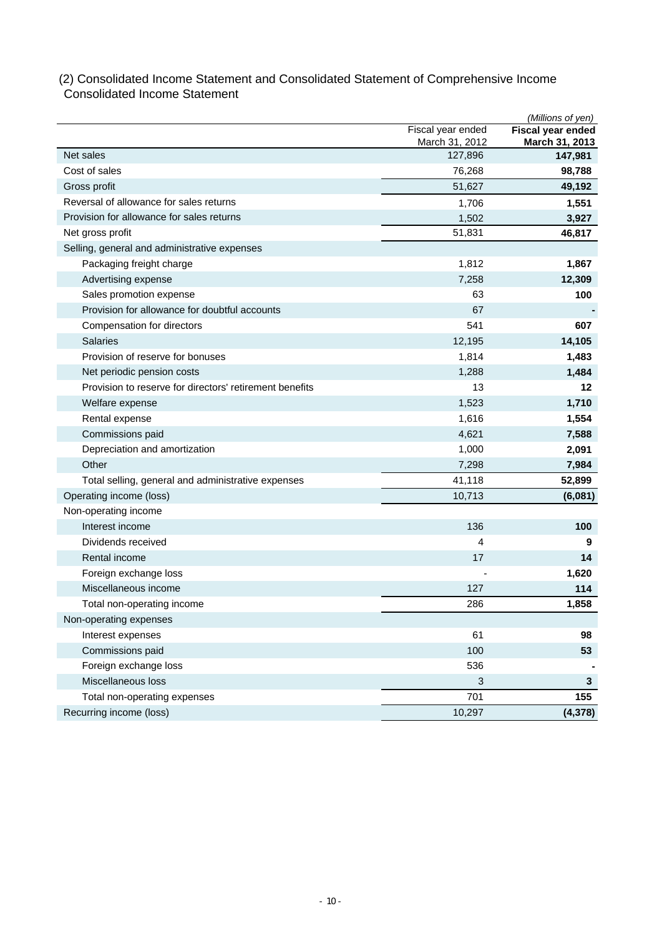### (2) Consolidated Income Statement and Consolidated Statement of Comprehensive Income Consolidated Income Statement

|                                                         |                           | (Millions of yen)         |
|---------------------------------------------------------|---------------------------|---------------------------|
|                                                         | Fiscal year ended         | Fiscal year ended         |
| Net sales                                               | March 31, 2012<br>127,896 | March 31, 2013<br>147,981 |
| Cost of sales                                           | 76,268                    | 98,788                    |
| Gross profit                                            | 51,627                    | 49,192                    |
| Reversal of allowance for sales returns                 | 1,706                     | 1,551                     |
| Provision for allowance for sales returns               | 1,502                     | 3,927                     |
| Net gross profit                                        | 51,831                    | 46,817                    |
| Selling, general and administrative expenses            |                           |                           |
| Packaging freight charge                                | 1,812                     | 1,867                     |
| Advertising expense                                     | 7,258                     | 12,309                    |
| Sales promotion expense                                 | 63                        | 100                       |
| Provision for allowance for doubtful accounts           | 67                        |                           |
| Compensation for directors                              | 541                       | 607                       |
| <b>Salaries</b>                                         | 12,195                    | 14,105                    |
| Provision of reserve for bonuses                        | 1,814                     | 1,483                     |
| Net periodic pension costs                              | 1,288                     | 1,484                     |
| Provision to reserve for directors' retirement benefits | 13                        | 12                        |
| Welfare expense                                         | 1,523                     | 1,710                     |
| Rental expense                                          | 1,616                     | 1,554                     |
| Commissions paid                                        | 4,621                     | 7,588                     |
| Depreciation and amortization                           | 1,000                     | 2,091                     |
| Other                                                   | 7,298                     | 7,984                     |
| Total selling, general and administrative expenses      | 41,118                    | 52,899                    |
| Operating income (loss)                                 | 10,713                    | (6,081)                   |
| Non-operating income                                    |                           |                           |
| Interest income                                         | 136                       | 100                       |
| Dividends received                                      | 4                         | 9                         |
| Rental income                                           | 17                        | 14                        |
| Foreign exchange loss                                   |                           | 1,620                     |
| Miscellaneous income                                    | 127                       | 114                       |
| Total non-operating income                              | 286                       | 1,858                     |
| Non-operating expenses                                  |                           |                           |
| Interest expenses                                       | 61                        | 98                        |
| Commissions paid                                        | 100                       | 53                        |
| Foreign exchange loss                                   | 536                       |                           |
| Miscellaneous loss                                      | 3                         | 3                         |
| Total non-operating expenses                            | 701                       | 155                       |
| Recurring income (loss)                                 | 10,297                    | (4, 378)                  |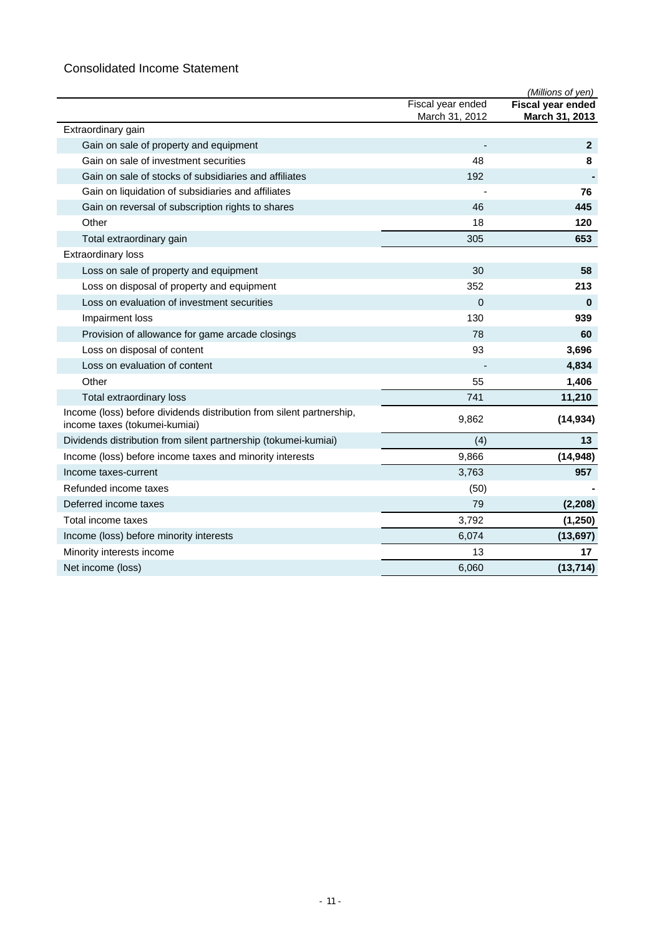# Consolidated Income Statement

|                                                                                                       |                   | (Millions of yen)        |
|-------------------------------------------------------------------------------------------------------|-------------------|--------------------------|
|                                                                                                       | Fiscal year ended | <b>Fiscal year ended</b> |
|                                                                                                       | March 31, 2012    | March 31, 2013           |
| Extraordinary gain                                                                                    |                   |                          |
| Gain on sale of property and equipment                                                                |                   | $\mathbf{2}$             |
| Gain on sale of investment securities                                                                 | 48                | 8                        |
| Gain on sale of stocks of subsidiaries and affiliates                                                 | 192               |                          |
| Gain on liquidation of subsidiaries and affiliates                                                    |                   | 76                       |
| Gain on reversal of subscription rights to shares                                                     | 46                | 445                      |
| Other                                                                                                 | 18                | 120                      |
| Total extraordinary gain                                                                              | 305               | 653                      |
| <b>Extraordinary loss</b>                                                                             |                   |                          |
| Loss on sale of property and equipment                                                                | 30                | 58                       |
| Loss on disposal of property and equipment                                                            | 352               | 213                      |
| Loss on evaluation of investment securities                                                           | $\overline{0}$    | $\bf{0}$                 |
| Impairment loss                                                                                       | 130               | 939                      |
| Provision of allowance for game arcade closings                                                       | 78                | 60                       |
| Loss on disposal of content                                                                           | 93                | 3,696                    |
| Loss on evaluation of content                                                                         |                   | 4,834                    |
| Other                                                                                                 | 55                | 1,406                    |
| Total extraordinary loss                                                                              | 741               | 11,210                   |
| Income (loss) before dividends distribution from silent partnership,<br>income taxes (tokumei-kumiai) | 9,862             | (14, 934)                |
| Dividends distribution from silent partnership (tokumei-kumiai)                                       | (4)               | 13                       |
| Income (loss) before income taxes and minority interests                                              | 9,866             | (14, 948)                |
| Income taxes-current                                                                                  | 3,763             | 957                      |
| Refunded income taxes                                                                                 | (50)              |                          |
| Deferred income taxes                                                                                 | 79                | (2, 208)                 |
| Total income taxes                                                                                    | 3,792             | (1, 250)                 |
| Income (loss) before minority interests                                                               | 6,074             | (13, 697)                |
| Minority interests income                                                                             | 13                | 17                       |
| Net income (loss)                                                                                     | 6,060             | (13, 714)                |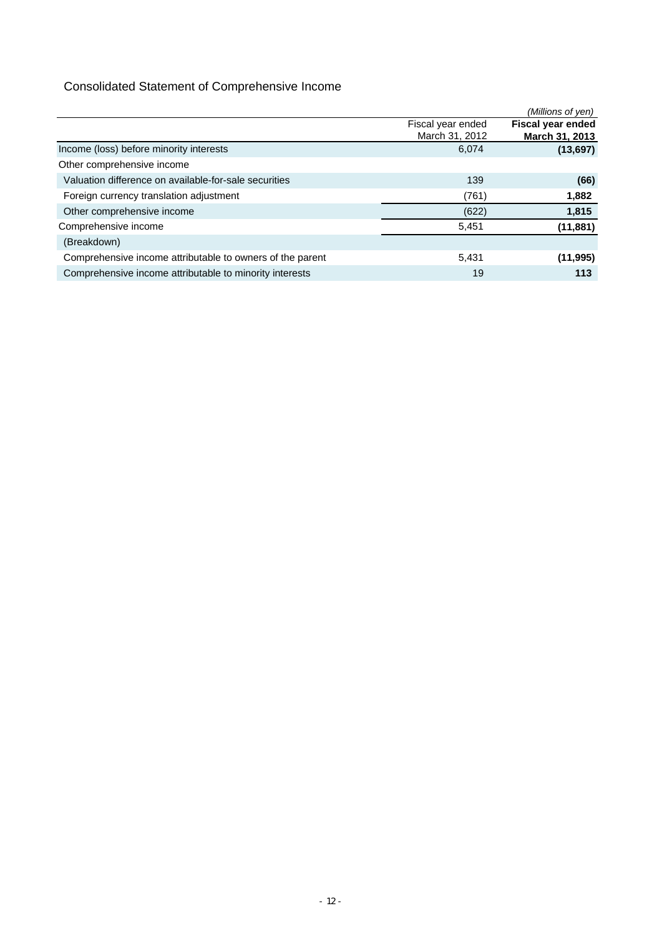# Consolidated Statement of Comprehensive Income

|                                                           |                   | (Millions of yen)        |
|-----------------------------------------------------------|-------------------|--------------------------|
|                                                           | Fiscal year ended | <b>Fiscal year ended</b> |
|                                                           | March 31, 2012    | March 31, 2013           |
| Income (loss) before minority interests                   | 6,074             | (13, 697)                |
| Other comprehensive income                                |                   |                          |
| Valuation difference on available-for-sale securities     | 139               | (66)                     |
| Foreign currency translation adjustment                   | (761)             | 1,882                    |
| Other comprehensive income                                | (622)             | 1,815                    |
| Comprehensive income                                      | 5,451             | (11, 881)                |
| (Breakdown)                                               |                   |                          |
| Comprehensive income attributable to owners of the parent | 5,431             | (11, 995)                |
| Comprehensive income attributable to minority interests   | 19                | 113                      |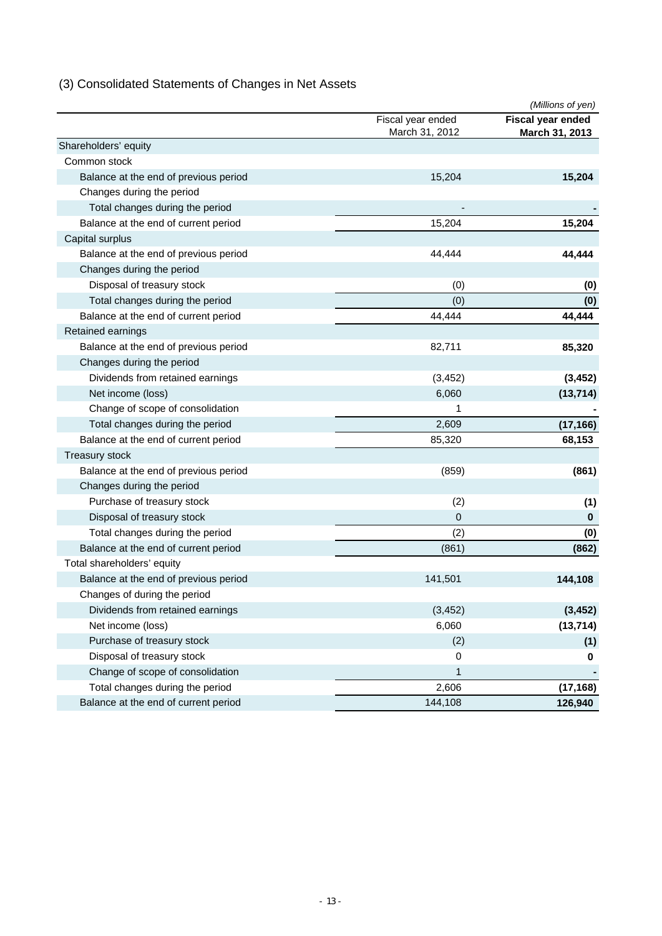# (3) Consolidated Statements of Changes in Net Assets

|                                       |                                     | (Millions of yen)                   |
|---------------------------------------|-------------------------------------|-------------------------------------|
|                                       | Fiscal year ended<br>March 31, 2012 | Fiscal year ended<br>March 31, 2013 |
| Shareholders' equity                  |                                     |                                     |
| Common stock                          |                                     |                                     |
| Balance at the end of previous period | 15,204                              | 15,204                              |
| Changes during the period             |                                     |                                     |
| Total changes during the period       |                                     |                                     |
| Balance at the end of current period  | 15,204                              | 15,204                              |
| Capital surplus                       |                                     |                                     |
| Balance at the end of previous period | 44,444                              | 44,444                              |
| Changes during the period             |                                     |                                     |
| Disposal of treasury stock            | (0)                                 | (0)                                 |
| Total changes during the period       | (0)                                 | (0)                                 |
| Balance at the end of current period  | 44.444                              | 44,444                              |
| Retained earnings                     |                                     |                                     |
| Balance at the end of previous period | 82,711                              | 85,320                              |
| Changes during the period             |                                     |                                     |
| Dividends from retained earnings      | (3, 452)                            | (3, 452)                            |
| Net income (loss)                     | 6,060                               | (13, 714)                           |
| Change of scope of consolidation      | 1                                   |                                     |
| Total changes during the period       | 2,609                               | (17, 166)                           |
| Balance at the end of current period  | 85,320                              | 68,153                              |
| Treasury stock                        |                                     |                                     |
| Balance at the end of previous period | (859)                               | (861)                               |
| Changes during the period             |                                     |                                     |
| Purchase of treasury stock            | (2)                                 | (1)                                 |
| Disposal of treasury stock            | $\mathbf 0$                         | 0                                   |
| Total changes during the period       | (2)                                 | (0)                                 |
| Balance at the end of current period  | (861)                               | (862)                               |
| Total shareholders' equity            |                                     |                                     |
| Balance at the end of previous period | 141,501                             | 144,108                             |
| Changes of during the period          |                                     |                                     |
| Dividends from retained earnings      | (3, 452)                            | (3, 452)                            |
| Net income (loss)                     | 6,060                               | (13, 714)                           |
| Purchase of treasury stock            | (2)                                 | (1)                                 |
| Disposal of treasury stock            | $\mathbf 0$                         | 0                                   |
| Change of scope of consolidation      | 1                                   |                                     |
| Total changes during the period       | 2,606                               | (17, 168)                           |
| Balance at the end of current period  | 144,108                             | 126,940                             |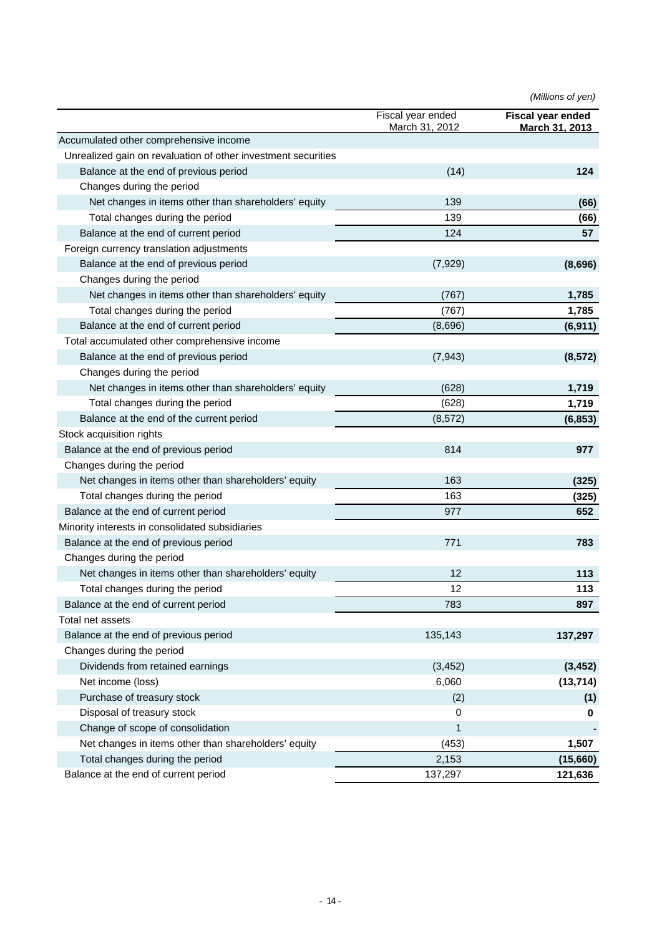*(Millions of yen)*

|                                                               | Fiscal year ended<br>March 31, 2012 | <b>Fiscal year ended</b><br><b>March 31, 2013</b> |
|---------------------------------------------------------------|-------------------------------------|---------------------------------------------------|
| Accumulated other comprehensive income                        |                                     |                                                   |
| Unrealized gain on revaluation of other investment securities |                                     |                                                   |
| Balance at the end of previous period                         | (14)                                | 124                                               |
| Changes during the period                                     |                                     |                                                   |
| Net changes in items other than shareholders' equity          | 139                                 | (66)                                              |
| Total changes during the period                               | 139                                 | (66)                                              |
| Balance at the end of current period                          | 124                                 | 57                                                |
| Foreign currency translation adjustments                      |                                     |                                                   |
| Balance at the end of previous period                         | (7, 929)                            | (8,696)                                           |
| Changes during the period                                     |                                     |                                                   |
| Net changes in items other than shareholders' equity          | (767)                               | 1,785                                             |
| Total changes during the period                               | (767)                               | 1,785                                             |
| Balance at the end of current period                          | (8,696)                             | (6, 911)                                          |
| Total accumulated other comprehensive income                  |                                     |                                                   |
| Balance at the end of previous period                         | (7, 943)                            | (8, 572)                                          |
| Changes during the period                                     |                                     |                                                   |
| Net changes in items other than shareholders' equity          | (628)                               | 1,719                                             |
| Total changes during the period                               | (628)                               | 1,719                                             |
| Balance at the end of the current period                      | (8, 572)                            | (6, 853)                                          |
| Stock acquisition rights                                      |                                     |                                                   |
| Balance at the end of previous period                         | 814                                 | 977                                               |
| Changes during the period                                     |                                     |                                                   |
| Net changes in items other than shareholders' equity          | 163                                 | (325)                                             |
| Total changes during the period                               | 163                                 |                                                   |
| Balance at the end of current period                          | 977                                 | (325)<br>652                                      |
| Minority interests in consolidated subsidiaries               |                                     |                                                   |
| Balance at the end of previous period                         | 771                                 |                                                   |
| Changes during the period                                     |                                     | 783                                               |
|                                                               |                                     |                                                   |
| Net changes in items other than shareholders' equity          | 12                                  | 113                                               |
| Total changes during the period                               | 12                                  | 113                                               |
| Balance at the end of current period                          | 783                                 | 897                                               |
| Total net assets                                              |                                     |                                                   |
| Balance at the end of previous period                         | 135,143                             | 137,297                                           |
| Changes during the period                                     |                                     |                                                   |
| Dividends from retained earnings                              | (3, 452)                            | (3, 452)                                          |
| Net income (loss)                                             | 6,060                               | (13, 714)                                         |
| Purchase of treasury stock                                    | (2)                                 | (1)                                               |
| Disposal of treasury stock                                    | 0                                   | 0                                                 |
| Change of scope of consolidation                              | 1                                   |                                                   |
| Net changes in items other than shareholders' equity          | (453)                               | 1,507                                             |
| Total changes during the period                               | 2,153                               | (15,660)                                          |
| Balance at the end of current period                          | 137,297                             | 121,636                                           |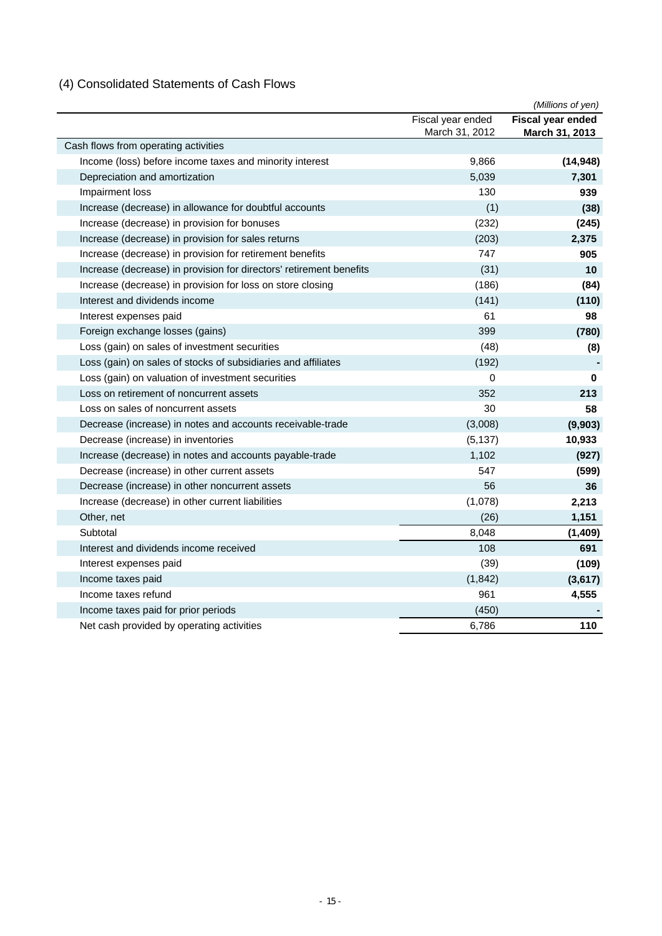# (4) Consolidated Statements of Cash Flows

|                                                                     |                   | (Millions of yen) |
|---------------------------------------------------------------------|-------------------|-------------------|
|                                                                     | Fiscal year ended | Fiscal year ended |
|                                                                     | March 31, 2012    | March 31, 2013    |
| Cash flows from operating activities                                |                   |                   |
| Income (loss) before income taxes and minority interest             | 9,866             | (14, 948)         |
| Depreciation and amortization                                       | 5,039             | 7,301             |
| Impairment loss                                                     | 130               | 939               |
| Increase (decrease) in allowance for doubtful accounts              | (1)               | (38)              |
| Increase (decrease) in provision for bonuses                        | (232)             | (245)             |
| Increase (decrease) in provision for sales returns                  | (203)             | 2,375             |
| Increase (decrease) in provision for retirement benefits            | 747               | 905               |
| Increase (decrease) in provision for directors' retirement benefits | (31)              | 10                |
| Increase (decrease) in provision for loss on store closing          | (186)             | (84)              |
| Interest and dividends income                                       | (141)             | (110)             |
| Interest expenses paid                                              | 61                | 98                |
| Foreign exchange losses (gains)                                     | 399               | (780)             |
| Loss (gain) on sales of investment securities                       | (48)              | (8)               |
| Loss (gain) on sales of stocks of subsidiaries and affiliates       | (192)             |                   |
| Loss (gain) on valuation of investment securities                   | 0                 | $\bf{0}$          |
| Loss on retirement of noncurrent assets                             | 352               | 213               |
| Loss on sales of noncurrent assets                                  | 30                | 58                |
| Decrease (increase) in notes and accounts receivable-trade          | (3,008)           | (9,903)           |
| Decrease (increase) in inventories                                  | (5, 137)          | 10,933            |
| Increase (decrease) in notes and accounts payable-trade             | 1,102             | (927)             |
| Decrease (increase) in other current assets                         | 547               | (599)             |
| Decrease (increase) in other noncurrent assets                      | 56                | 36                |
| Increase (decrease) in other current liabilities                    | (1,078)           | 2,213             |
| Other, net                                                          | (26)              | 1,151             |
| Subtotal                                                            | 8,048             | (1, 409)          |
| Interest and dividends income received                              | 108               | 691               |
| Interest expenses paid                                              | (39)              | (109)             |
| Income taxes paid                                                   | (1, 842)          | (3,617)           |
| Income taxes refund                                                 | 961               | 4,555             |
| Income taxes paid for prior periods                                 | (450)             |                   |
| Net cash provided by operating activities                           | 6,786             | 110               |
|                                                                     |                   |                   |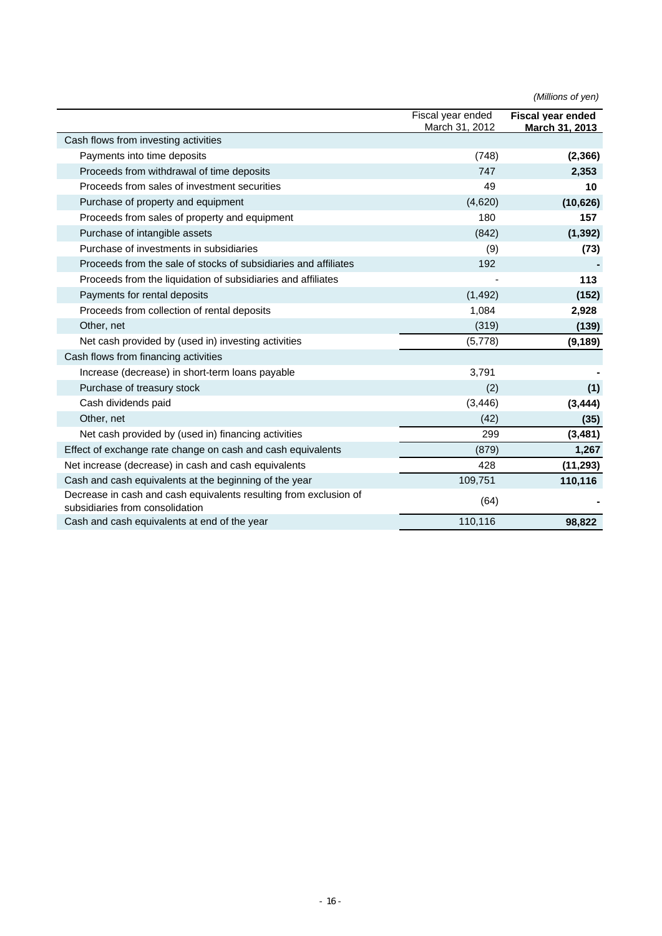|                                                                                                      | Fiscal year ended<br>March 31, 2012 | <b>Fiscal vear ended</b><br>March 31, 2013 |
|------------------------------------------------------------------------------------------------------|-------------------------------------|--------------------------------------------|
| Cash flows from investing activities                                                                 |                                     |                                            |
| Payments into time deposits                                                                          | (748)                               | (2, 366)                                   |
| Proceeds from withdrawal of time deposits                                                            | 747                                 | 2,353                                      |
| Proceeds from sales of investment securities                                                         | 49                                  | 10                                         |
| Purchase of property and equipment                                                                   | (4,620)                             | (10, 626)                                  |
| Proceeds from sales of property and equipment                                                        | 180                                 | 157                                        |
| Purchase of intangible assets                                                                        | (842)                               | (1, 392)                                   |
| Purchase of investments in subsidiaries                                                              | (9)                                 | (73)                                       |
| Proceeds from the sale of stocks of subsidiaries and affiliates                                      | 192                                 |                                            |
| Proceeds from the liquidation of subsidiaries and affiliates                                         |                                     | 113                                        |
| Payments for rental deposits                                                                         | (1, 492)                            | (152)                                      |
| Proceeds from collection of rental deposits                                                          | 1,084                               | 2,928                                      |
| Other, net                                                                                           | (319)                               | (139)                                      |
| Net cash provided by (used in) investing activities                                                  | (5,778)                             | (9, 189)                                   |
| Cash flows from financing activities                                                                 |                                     |                                            |
| Increase (decrease) in short-term loans payable                                                      | 3,791                               |                                            |
| Purchase of treasury stock                                                                           | (2)                                 | (1)                                        |
| Cash dividends paid                                                                                  | (3, 446)                            | (3, 444)                                   |
| Other, net                                                                                           | (42)                                | (35)                                       |
| Net cash provided by (used in) financing activities                                                  | 299                                 | (3, 481)                                   |
| Effect of exchange rate change on cash and cash equivalents                                          | (879)                               | 1,267                                      |
| Net increase (decrease) in cash and cash equivalents                                                 | 428                                 | (11, 293)                                  |
| Cash and cash equivalents at the beginning of the year                                               | 109,751                             | 110,116                                    |
| Decrease in cash and cash equivalents resulting from exclusion of<br>subsidiaries from consolidation | (64)                                |                                            |
| Cash and cash equivalents at end of the year                                                         | 110,116                             | 98,822                                     |